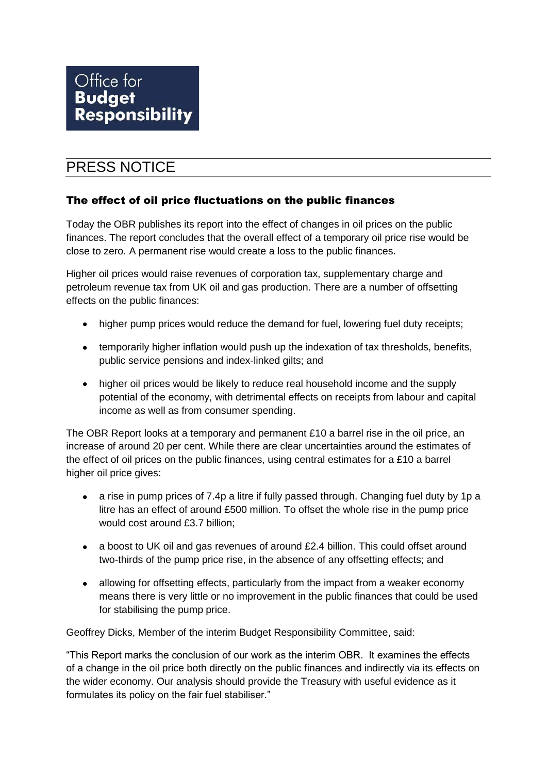# PRESS NOTICE

### The effect of oil price fluctuations on the public finances

Today the OBR publishes its report into the effect of changes in oil prices on the public finances. The report concludes that the overall effect of a temporary oil price rise would be close to zero. A permanent rise would create a loss to the public finances.

Higher oil prices would raise revenues of corporation tax, supplementary charge and petroleum revenue tax from UK oil and gas production. There are a number of offsetting effects on the public finances:

- higher pump prices would reduce the demand for fuel, lowering fuel duty receipts;
- temporarily higher inflation would push up the indexation of tax thresholds, benefits, public service pensions and index-linked gilts; and
- higher oil prices would be likely to reduce real household income and the supply potential of the economy, with detrimental effects on receipts from labour and capital income as well as from consumer spending.

The OBR Report looks at a temporary and permanent £10 a barrel rise in the oil price, an increase of around 20 per cent. While there are clear uncertainties around the estimates of the effect of oil prices on the public finances, using central estimates for a £10 a barrel higher oil price gives:

- a rise in pump prices of 7.4p a litre if fully passed through. Changing fuel duty by 1p a litre has an effect of around £500 million. To offset the whole rise in the pump price would cost around £3.7 billion;
- a boost to UK oil and gas revenues of around £2.4 billion. This could offset around two-thirds of the pump price rise, in the absence of any offsetting effects; and
- allowing for offsetting effects, particularly from the impact from a weaker economy means there is very little or no improvement in the public finances that could be used for stabilising the pump price.

Geoffrey Dicks, Member of the interim Budget Responsibility Committee, said:

"This Report marks the conclusion of our work as the interim OBR. It examines the effects of a change in the oil price both directly on the public finances and indirectly via its effects on the wider economy. Our analysis should provide the Treasury with useful evidence as it formulates its policy on the fair fuel stabiliser."